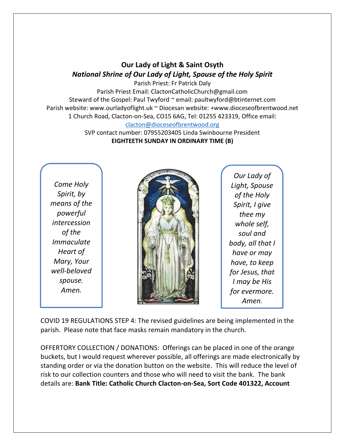## **Our Lady of Light & Saint Osyth** *National Shrine of Our Lady of Light, Spouse of the Holy Spirit*

Parish Priest: Fr Patrick Daly Parish Priest Email: ClactonCatholicChurch@gmail.com Steward of the Gospel: Paul Twyford ~ email: paultwyford@btinternet.com Parish website: www.ourladyoflight.uk ~ Diocesan website: +www.dioceseofbrentwood.net 1 Church Road, Clacton-on-Sea, CO15 6AG, Tel: 01255 423319, Office email: [clacton@dioceseofbrentwood.org](mailto:clacton@dioceseofbrentwood.org)

> SVP contact number: 07955203405 Linda Swinbourne President **EIGHTEETH SUNDAY IN ORDINARY TIME (B)**

*Come Holy Spirit, by means of the powerful intercession of the Immaculate Heart of Mary, Your well-beloved spouse. Amen.*



*Our Lady of Light, Spouse of the Holy Spirit, I give thee my whole self, soul and body, all that I have or may have, to keep for Jesus, that I may be His for evermore. Amen.*

COVID 19 REGULATIONS STEP 4: The revised guidelines are being implemented in the parish. Please note that face masks remain mandatory in the church.

OFFERTORY COLLECTION / DONATIONS: Offerings can be placed in one of the orange buckets, but I would request wherever possible, all offerings are made electronically by standing order or via the donation button on the website. This will reduce the level of risk to our collection counters and those who will need to visit the bank. The bank details are: **Bank Title: Catholic Church Clacton-on-Sea, Sort Code 401322, Account**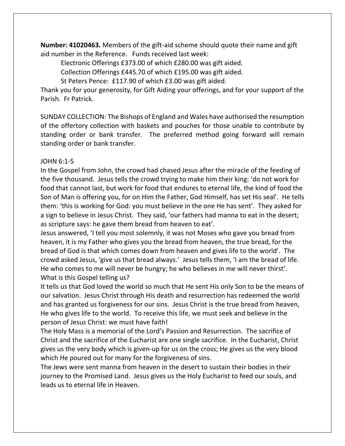**Number: 41020463.** Members of the gift-aid scheme should quote their name and gift aid number in the Reference. Funds received last week:

Electronic Offerings £373.00 of which £280.00 was gift aided.

Collection Offerings £445.70 of which £195.00 was gift aided.

St Peters Pence: £117.90 of which £3.00 was gift aided.

Thank you for your generosity, for Gift Aiding your offerings, and for your support of the Parish. Fr Patrick.

SUNDAY COLLECTION: The Bishops of England and Wales have authorised the resumption of the offertory collection with baskets and pouches for those unable to contribute by standing order or bank transfer. The preferred method going forward will remain standing order or bank transfer.

## JOHN 6:1-5

In the Gospel from John, the crowd had chased Jesus after the miracle of the feeding of the five thousand. Jesus tells the crowd trying to make him their king: 'do not work for food that cannot last, but work for food that endures to eternal life, the kind of food the Son of Man is offering you, for on Him the Father, God Himself, has set His seal'. He tells them: 'this is working for God: you must believe in the one He has sent'. They asked for a sign to believe in Jesus Christ. They said, 'our fathers had manna to eat in the desert; as scripture says: he gave them bread from heaven to eat'.

Jesus answered, 'I tell you most solemnly, it was not Moses who gave you bread from heaven, it is my Father who gives you the bread from heaven, the true bread, for the bread of God is that which comes down from heaven and gives life to the world'. The crowd asked Jesus, 'give us that bread always.' Jesus tells them, 'I am the bread of life. He who comes to me will never be hungry; he who believes in me will never thirst'. What is this Gospel telling us?

It tells us that God loved the world so much that He sent His only Son to be the means of our salvation. Jesus Christ through His death and resurrection has redeemed the world and has granted us forgiveness for our sins. Jesus Christ is the true bread from heaven, He who gives life to the world. To receive this life, we must seek and believe in the person of Jesus Christ: we must have faith!

The Holy Mass is a memorial of the Lord's Passion and Resurrection. The sacrifice of Christ and the sacrifice of the Eucharist are one single sacrifice. In the Eucharist, Christ gives us the very body which is given-up for us on the cross; He gives us the very blood which He poured out for many for the forgiveness of sins.

The Jews were sent manna from heaven in the desert to sustain their bodies in their journey to the Promised Land. Jesus gives us the Holy Eucharist to feed our souls, and leads us to eternal life in Heaven.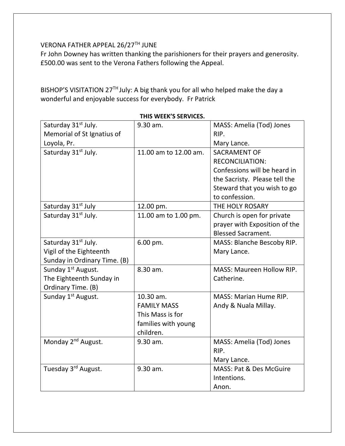## VERONA FATHER APPEAL 26/27TH JUNE

Fr John Downey has written thanking the parishioners for their prayers and generosity. £500.00 was sent to the Verona Fathers following the Appeal.

BISHOP'S VISITATION 27<sup>TH</sup> July: A big thank you for all who helped make the day a wonderful and enjoyable success for everybody. Fr Patrick

| Saturday 31 <sup>st</sup> July. | 9.30 am.              | MASS: Amelia (Tod) Jones         |
|---------------------------------|-----------------------|----------------------------------|
| Memorial of St Ignatius of      |                       | RIP.                             |
| Loyola, Pr.                     |                       | Mary Lance.                      |
| Saturday 31 <sup>st</sup> July. | 11.00 am to 12.00 am. | <b>SACRAMENT OF</b>              |
|                                 |                       | <b>RECONCILIATION:</b>           |
|                                 |                       | Confessions will be heard in     |
|                                 |                       | the Sacristy. Please tell the    |
|                                 |                       | Steward that you wish to go      |
|                                 |                       | to confession.                   |
| Saturday 31 <sup>st</sup> July  | 12.00 pm.             | THE HOLY ROSARY                  |
| Saturday 31 <sup>st</sup> July. | 11.00 am to 1.00 pm.  | Church is open for private       |
|                                 |                       | prayer with Exposition of the    |
|                                 |                       | <b>Blessed Sacrament.</b>        |
| Saturday 31 <sup>st</sup> July. | 6.00 pm.              | MASS: Blanche Bescoby RIP.       |
| Vigil of the Eighteenth         |                       | Mary Lance.                      |
| Sunday in Ordinary Time. (B)    |                       |                                  |
| Sunday 1 <sup>st</sup> August.  | 8.30 am.              | <b>MASS: Maureen Hollow RIP.</b> |
| The Eighteenth Sunday in        |                       | Catherine.                       |
| Ordinary Time. (B)              |                       |                                  |
| Sunday 1 <sup>st</sup> August.  | 10.30 am.             | <b>MASS: Marian Hume RIP.</b>    |
|                                 | <b>FAMILY MASS</b>    | Andy & Nuala Millay.             |
|                                 | This Mass is for      |                                  |
|                                 | families with young   |                                  |
|                                 | children.             |                                  |
| Monday 2 <sup>nd</sup> August.  | 9.30 am.              | MASS: Amelia (Tod) Jones         |
|                                 |                       | RIP.                             |
|                                 |                       | Mary Lance.                      |
| Tuesday 3 <sup>rd</sup> August. | 9.30 am.              | MASS: Pat & Des McGuire          |
|                                 |                       | Intentions.                      |
|                                 |                       | Anon.                            |

**THIS WEEK'S SERVICES.**